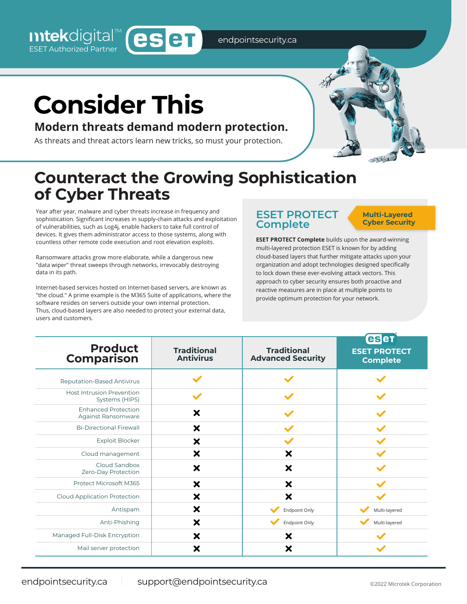endpointsecurity.ca

# **Consider This**

Intekdigital<sup>™</sup> (eseT

### **Modern threats demand modern protection.**

As threats and threat actors learn new tricks, so must your protection.

## **Counteract the Growing Sophistication of Cyber Threats**

Year after year, malware and cyber threats increase in frequency and sophistication. Significant increases in supply-chain attacks and exploitation of vulnerabilities, such as Log4j, enable hackers to take full control of devices. It gives them administrator access to those systems, along with countless other remote code execution and root elevation exploits.

Ransomware attacks grow more elaborate, while a dangerous new "data wiper" threat sweeps through networks, irrevocably destroying data in its path.

Internet-based services hosted on Internet-based servers, are known as "the cloud." A prime example is the M365 Suite of applications, where the software resides on servers outside your own internal protection. Thus, cloud-based layers are also needed to protect your external data, users and customers.

#### **ESET PROTECT Complete**

#### **Multi-Layered Cyber Security**

**ESET PROTECT Complete** builds upon the award-winning multi-layered protection ESET is known for by adding cloud-based layers that further mitigate attacks upon your organization and adopt technologies designed specifically to lock down these ever-evolving attack vectors. This approach to cyber security ensures both proactive and reactive measures are in place at multiple points to provide optimum protection for your network.

| <b>Product</b><br>Comparison                       | <b>Traditional</b><br><b>Antivirus</b> | <b>Traditional</b><br><b>Advanced Security</b> | eser<br><b>ESET PROTECT</b><br><b>Complete</b> |
|----------------------------------------------------|----------------------------------------|------------------------------------------------|------------------------------------------------|
| <b>Reputation-Based Antivirus</b>                  |                                        |                                                |                                                |
| <b>Host Intrusion Prevention</b><br>Systems (HIPS) | w                                      |                                                |                                                |
| <b>Enhanced Protection</b><br>Against Ransomware   | $\boldsymbol{\mathsf{x}}$              |                                                |                                                |
| <b>Bi-Directional Firewall</b>                     | $\boldsymbol{\mathsf{x}}$              |                                                |                                                |
| <b>Exploit Blocker</b>                             | ×                                      |                                                |                                                |
| Cloud management                                   | ×                                      | ×                                              |                                                |
| Cloud Sandbox<br>Zero-Day Protection               | $\boldsymbol{\mathsf{x}}$              | $\boldsymbol{\mathsf{x}}$                      |                                                |
| Protect Microsoft M365                             | $\boldsymbol{\mathsf{x}}$              | X                                              |                                                |
| Cloud Application Protection                       | $\boldsymbol{\mathsf{x}}$              | ×                                              |                                                |
| Antispam                                           | $\boldsymbol{\mathsf{x}}$              | <b>Endpoint Only</b>                           | Multi-layered                                  |
| Anti-Phishing                                      | ×                                      | Endpoint Only                                  | Multi-layered                                  |
| Managed Full-Disk Encryption                       | ×                                      | ×                                              |                                                |
| Mail server protection                             | ×                                      | ×                                              |                                                |